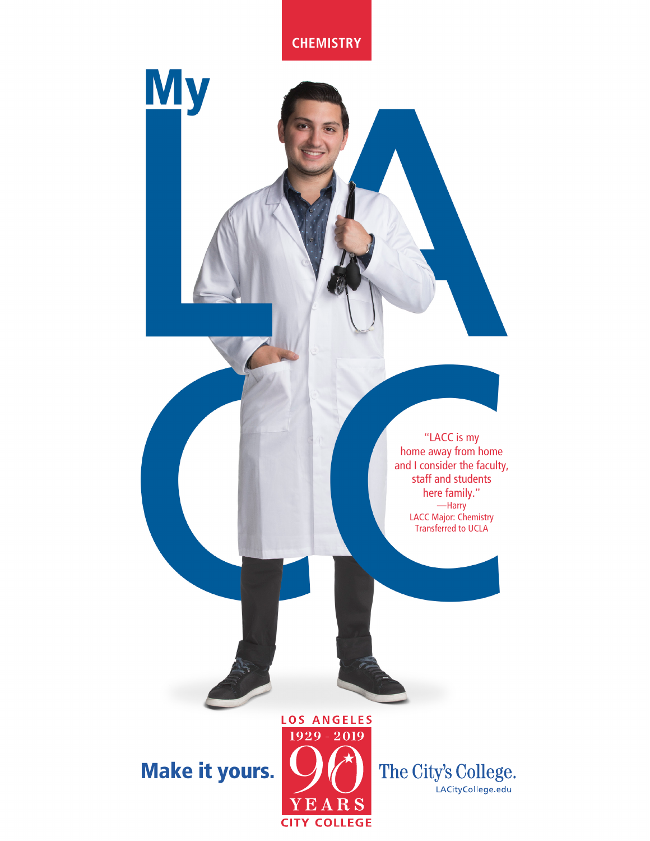**CHEMISTRY**

**My** 

and I consider the faculty, staff and students here family." —Harry LACC Major: Chemistry Transferred to UCLA

"LACC is my home away from home

Make it yours.



The City's College. LACityCollege.edu